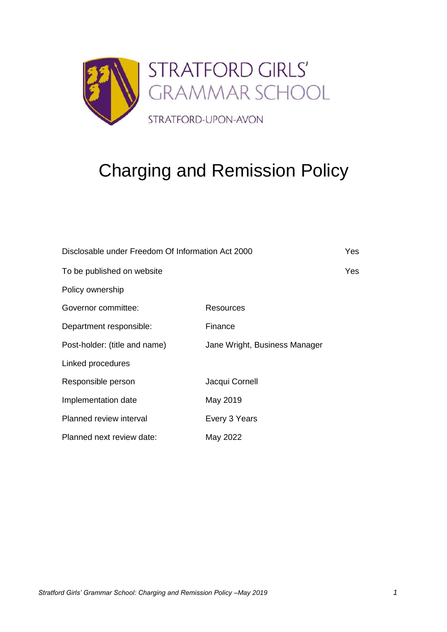

# Charging and Remission Policy

| Disclosable under Freedom Of Information Act 2000 |                               | Yes |
|---------------------------------------------------|-------------------------------|-----|
| To be published on website                        |                               | Yes |
| Policy ownership                                  |                               |     |
| Governor committee:                               | Resources                     |     |
| Department responsible:                           | Finance                       |     |
| Post-holder: (title and name)                     | Jane Wright, Business Manager |     |
| Linked procedures                                 |                               |     |
| Responsible person                                | Jacqui Cornell                |     |
| Implementation date                               | May 2019                      |     |
| Planned review interval                           | Every 3 Years                 |     |
| Planned next review date:                         | May 2022                      |     |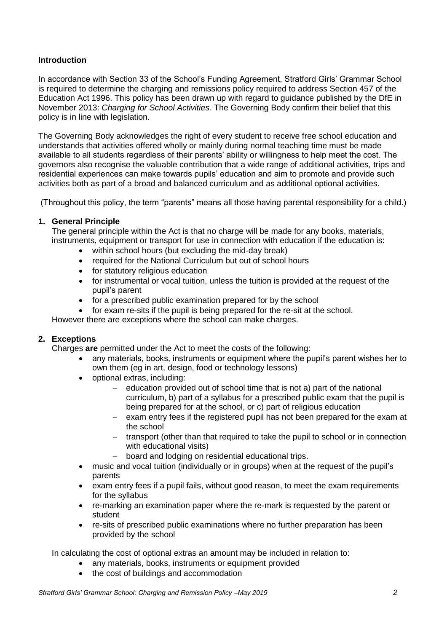# **Introduction**

In accordance with Section 33 of the School's Funding Agreement, Stratford Girls' Grammar School is required to determine the charging and remissions policy required to address Section 457 of the Education Act 1996. This policy has been drawn up with regard to guidance published by the DfE in November 2013: *Charging for School Activities.* The Governing Body confirm their belief that this policy is in line with legislation.

The Governing Body acknowledges the right of every student to receive free school education and understands that activities offered wholly or mainly during normal teaching time must be made available to all students regardless of their parents' ability or willingness to help meet the cost. The governors also recognise the valuable contribution that a wide range of additional activities, trips and residential experiences can make towards pupils' education and aim to promote and provide such activities both as part of a broad and balanced curriculum and as additional optional activities.

(Throughout this policy, the term "parents" means all those having parental responsibility for a child.)

#### **1. General Principle**

The general principle within the Act is that no charge will be made for any books, materials, instruments, equipment or transport for use in connection with education if the education is:

- within school hours (but excluding the mid-day break)
- required for the National Curriculum but out of school hours
- for statutory religious education
- for instrumental or vocal tuition, unless the tuition is provided at the request of the pupil's parent
- for a prescribed public examination prepared for by the school
- for exam re-sits if the pupil is being prepared for the re-sit at the school.

However there are exceptions where the school can make charges.

#### **2. Exceptions**

Charges **are** permitted under the Act to meet the costs of the following:

- any materials, books, instruments or equipment where the pupil's parent wishes her to own them (eg in art, design, food or technology lessons)
- optional extras, including:
	- education provided out of school time that is not a) part of the national curriculum, b) part of a syllabus for a prescribed public exam that the pupil is being prepared for at the school, or c) part of religious education
	- − exam entry fees if the registered pupil has not been prepared for the exam at the school
	- − transport (other than that required to take the pupil to school or in connection with educational visits)
	- − board and lodging on residential educational trips.
- music and vocal tuition (individually or in groups) when at the request of the pupil's parents
- exam entry fees if a pupil fails, without good reason, to meet the exam requirements for the syllabus
- re-marking an examination paper where the re-mark is requested by the parent or student
- re-sits of prescribed public examinations where no further preparation has been provided by the school

In calculating the cost of optional extras an amount may be included in relation to:

- any materials, books, instruments or equipment provided
	- the cost of buildings and accommodation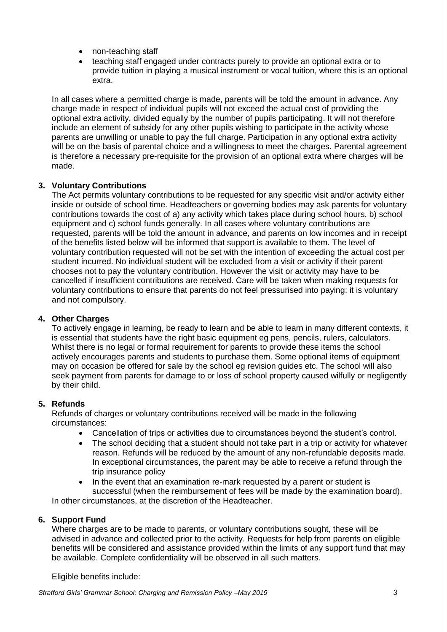- non-teaching staff
- teaching staff engaged under contracts purely to provide an optional extra or to provide tuition in playing a musical instrument or vocal tuition, where this is an optional extra.

In all cases where a permitted charge is made, parents will be told the amount in advance. Any charge made in respect of individual pupils will not exceed the actual cost of providing the optional extra activity, divided equally by the number of pupils participating. It will not therefore include an element of subsidy for any other pupils wishing to participate in the activity whose parents are unwilling or unable to pay the full charge. Participation in any optional extra activity will be on the basis of parental choice and a willingness to meet the charges. Parental agreement is therefore a necessary pre-requisite for the provision of an optional extra where charges will be made.

# **3. Voluntary Contributions**

The Act permits voluntary contributions to be requested for any specific visit and/or activity either inside or outside of school time. Headteachers or governing bodies may ask parents for voluntary contributions towards the cost of a) any activity which takes place during school hours, b) school equipment and c) school funds generally. In all cases where voluntary contributions are requested, parents will be told the amount in advance, and parents on low incomes and in receipt of the benefits listed below will be informed that support is available to them. The level of voluntary contribution requested will not be set with the intention of exceeding the actual cost per student incurred. No individual student will be excluded from a visit or activity if their parent chooses not to pay the voluntary contribution. However the visit or activity may have to be cancelled if insufficient contributions are received. Care will be taken when making requests for voluntary contributions to ensure that parents do not feel pressurised into paying: it is voluntary and not compulsory.

## **4. Other Charges**

To actively engage in learning, be ready to learn and be able to learn in many different contexts, it is essential that students have the right basic equipment eg pens, pencils, rulers, calculators. Whilst there is no legal or formal requirement for parents to provide these items the school actively encourages parents and students to purchase them. Some optional items of equipment may on occasion be offered for sale by the school eg revision guides etc. The school will also seek payment from parents for damage to or loss of school property caused wilfully or negligently by their child.

## **5. Refunds**

Refunds of charges or voluntary contributions received will be made in the following circumstances:

- Cancellation of trips or activities due to circumstances beyond the student's control.
- The school deciding that a student should not take part in a trip or activity for whatever reason. Refunds will be reduced by the amount of any non-refundable deposits made. In exceptional circumstances, the parent may be able to receive a refund through the trip insurance policy
- In the event that an examination re-mark requested by a parent or student is successful (when the reimbursement of fees will be made by the examination board).

In other circumstances, at the discretion of the Headteacher.

## **6. Support Fund**

Where charges are to be made to parents, or voluntary contributions sought, these will be advised in advance and collected prior to the activity. Requests for help from parents on eligible benefits will be considered and assistance provided within the limits of any support fund that may be available. Complete confidentiality will be observed in all such matters.

Eligible benefits include: